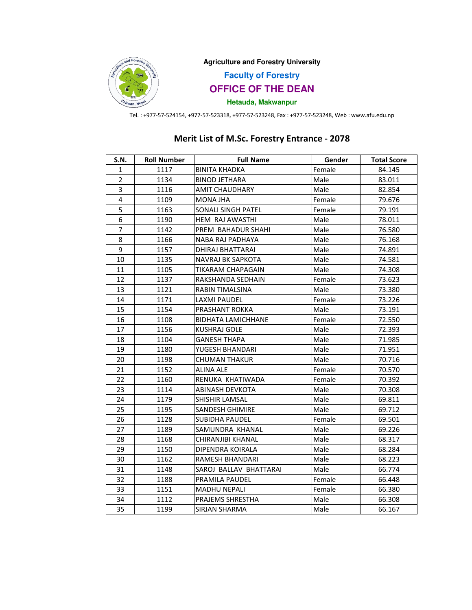

**Agriculture and Forestry University**

**Faculty of Forestry**

**OFFICE OF THE DEAN**

# **Hetauda, Makwanpur**

Tel. : +977-57-524154, +977-57-523318, +977-57-523248, Fax : +977-57-523248, Web : www.afu.edu.np

# Merit List of M.Sc. Forestry Entrance - 2078

| S.N.           | <b>Roll Number</b> | <b>Full Name</b>          | Gender | <b>Total Score</b> |
|----------------|--------------------|---------------------------|--------|--------------------|
| 1              | 1117               | <b>BINITA KHADKA</b>      | Female | 84.145             |
| $\overline{2}$ | 1134               | <b>BINOD JETHARA</b>      | Male   | 83.011             |
| 3              | 1116               | <b>AMIT CHAUDHARY</b>     | Male   | 82.854             |
| 4              | 1109               | MONA JHA                  | Female | 79.676             |
| 5              | 1163               | <b>SONALI SINGH PATEL</b> | Female | 79.191             |
| 6              | 1190               | HEM RAJ AWASTHI           | Male   | 78.011             |
| $\overline{7}$ | 1142               | PREM BAHADUR SHAHI        | Male   | 76.580             |
| 8              | 1166               | NABA RAJ PADHAYA          | Male   | 76.168             |
| 9              | 1157               | DHIRAJ BHATTARAI          | Male   | 74.891             |
| 10             | 1135               | NAVRAJ BK SAPKOTA         | Male   | 74.581             |
| 11             | 1105               | TIKARAM CHAPAGAIN         | Male   | 74.308             |
| 12             | 1137               | RAKSHANDA SEDHAIN         | Female | 73.623             |
| 13             | 1121               | RABIN TIMALSINA           | Male   | 73.380             |
| 14             | 1171               | <b>LAXMI PAUDEL</b>       | Female | 73.226             |
| 15             | 1154               | PRASHANT ROKKA            | Male   | 73.191             |
| 16             | 1108               | <b>BIDHATA LAMICHHANE</b> | Female | 72.550             |
| 17             | 1156               | <b>KUSHRAJ GOLE</b>       | Male   | 72.393             |
| 18             | 1104               | <b>GANESH THAPA</b>       | Male   | 71.985             |
| 19             | 1180               | YUGESH BHANDARI           | Male   | 71.951             |
| 20             | 1198               | CHUMAN THAKUR             | Male   | 70.716             |
| 21             | 1152               | <b>ALINA ALE</b>          | Female | 70.570             |
| 22             | 1160               | RENUKA KHATIWADA          | Female | 70.392             |
| 23             | 1114               | <b>ABINASH DEVKOTA</b>    | Male   | 70.308             |
| 24             | 1179               | SHISHIR LAMSAL            | Male   | 69.811             |
| 25             | 1195               | SANDESH GHIMIRE           | Male   | 69.712             |
| 26             | 1128               | SUBIDHA PAUDEL            | Female | 69.501             |
| 27             | 1189               | SAMUNDRA KHANAL           | Male   | 69.226             |
| 28             | 1168               | CHIRANJIBI KHANAL         | Male   | 68.317             |
| 29             | 1150               | DIPENDRA KOIRALA          | Male   | 68.284             |
| 30             | 1162               | RAMESH BHANDARI           | Male   | 68.223             |
| 31             | 1148               | SAROJ BALLAV BHATTARAI    | Male   | 66.774             |
| 32             | 1188               | PRAMILA PAUDEL            | Female | 66.448             |
| 33             | 1151               | <b>MADHU NEPALI</b>       | Female | 66.380             |
| 34             | 1112               | PRAJEMS SHRESTHA          | Male   | 66.308             |
| 35             | 1199               | <b>SIRJAN SHARMA</b>      | Male   | 66.167             |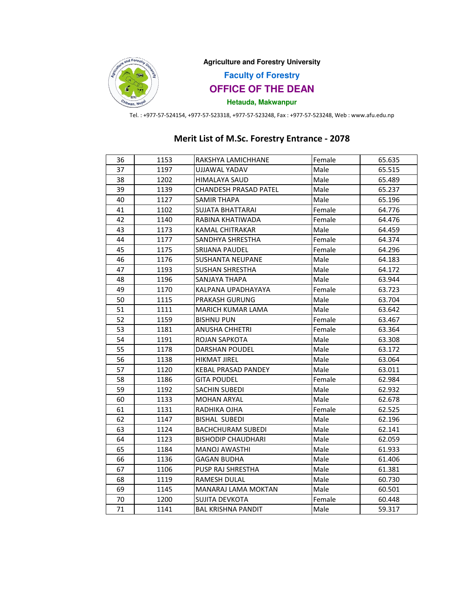

**Agriculture and Forestry University**

**Faculty of Forestry**

**OFFICE OF THE DEAN**

**Hetauda, Makwanpur**

Tel. : +977-57-524154, +977-57-523318, +977-57-523248, Fax : +977-57-523248, Web : www.afu.edu.np

### 36 | 1153 | RAKSHYA LAMICHHANE | Female | 65.635 37 | 1197 | UJJAWAL YADAV | Male | 65.515 38 | 1202 | HIMALAYA SAUD | Male | 65.489 39 1139 CHANDESH PRASAD PATEL Male 65.237 40 | 1127 | SAMIR THAPA | Male | 65.196 41 1102 SUJATA BHATTARAI Female 64.776 42 1140 RABINA KHATIWADA Female 64.476 43 1173 KAMAL CHITRAKAR Male 64.459 44 | 1177 | SANDHYA SHRESTHA | Female | 64.374 45 | 1175 | SRIJANA PAUDEL | Female | 64.296 46 1176 SUSHANTA NEUPANE Male 64.183 47 | 1193 | SUSHAN SHRESTHA | Male | 64.172 48 1196 SANJAYA THAPA Male 63.944 49 | 1170 | KALPANA UPADHAYAYA | Female | 63.723 50 1115 PRAKASH GURUNG Male 63.704 51 1111 MARICH KUMAR LAMA Male 63.642 52 1159 BISHNU PUN Female 63.467 53 | 1181 | ANUSHA CHHETRI | Female | 63.364 54 1191 ROJAN SAPKOTA Male 63.308 55 1178 DARSHAN POUDEL Male 63.172 56 1138 HIKMAT JIREL Male 63.064 57 | 1120 | KEBAL PRASAD PANDEY | Male | 63.011 58 | 1186 | GITA POUDEL | Female | 62.984 59 1192 SACHIN SUBEDI Male 62.932 60 | 1133 | MOHAN ARYAL | Male | 62.678 61 1131 RADHIKA OJHA Female 62.525 62 | 1147 | BISHAL SUBEDI | Male | 62.196 63 1124 BACHCHURAM SUBEDI Male 62.141 64 1123 BISHODIP CHAUDHARI Male 62.059 65 1184 MANOJ AWASTHI Male 61.933 66 | 1136 | GAGAN BUDHA | Male | 61.406 67 | 1106 | PUSP RAJ SHRESTHA | Male 61.381 68 1119 RAMESH DULAL Male 60.730 69 | 1145 | MANARAJ LAMA MOKTAN | Male | 60.501 70 1200 SUJITA DEVKOTA Female 60.448 71 | 1141 | BAL KRISHNA PANDIT | Male | 59.317

### Merit List of M.Sc. Forestry Entrance - 2078